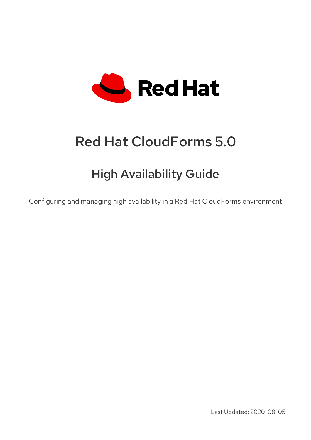

# Red Hat CloudForms 5.0

# High Availability Guide

Configuring and managing high availability in a Red Hat CloudForms environment

Last Updated: 2020-08-05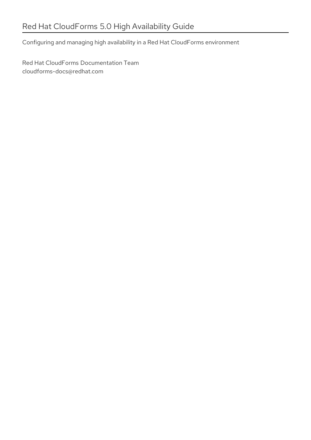Configuring and managing high availability in a Red Hat CloudForms environment

Red Hat CloudForms Documentation Team cloudforms-docs@redhat.com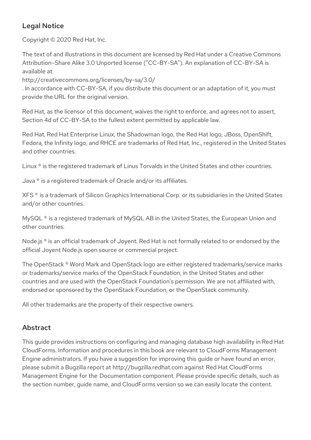### Legal Notice

Copyright © 2020 Red Hat, Inc.

The text of and illustrations in this document are licensed by Red Hat under a Creative Commons Attribution–Share Alike 3.0 Unported license ("CC-BY-SA"). An explanation of CC-BY-SA is available at

http://creativecommons.org/licenses/by-sa/3.0/

. In accordance with CC-BY-SA, if you distribute this document or an adaptation of it, you must provide the URL for the original version.

Red Hat, as the licensor of this document, waives the right to enforce, and agrees not to assert, Section 4d of CC-BY-SA to the fullest extent permitted by applicable law.

Red Hat, Red Hat Enterprise Linux, the Shadowman logo, the Red Hat logo, JBoss, OpenShift, Fedora, the Infinity logo, and RHCE are trademarks of Red Hat, Inc., registered in the United States and other countries.

Linux ® is the registered trademark of Linus Torvalds in the United States and other countries.

Java ® is a registered trademark of Oracle and/or its affiliates.

XFS ® is a trademark of Silicon Graphics International Corp. or its subsidiaries in the United States and/or other countries.

MySQL<sup>®</sup> is a registered trademark of MySQL AB in the United States, the European Union and other countries.

Node.js ® is an official trademark of Joyent. Red Hat is not formally related to or endorsed by the official Joyent Node.js open source or commercial project.

The OpenStack ® Word Mark and OpenStack logo are either registered trademarks/service marks or trademarks/service marks of the OpenStack Foundation, in the United States and other countries and are used with the OpenStack Foundation's permission. We are not affiliated with, endorsed or sponsored by the OpenStack Foundation, or the OpenStack community.

All other trademarks are the property of their respective owners.

### Abstract

This guide provides instructions on configuring and managing database high availability in Red Hat CloudForms. Information and procedures in this book are relevant to CloudForms Management Engine administrators. If you have a suggestion for improving this guide or have found an error, please submit a Bugzilla report at http://bugzilla.redhat.com against Red Hat CloudForms Management Engine for the Documentation component. Please provide specific details, such as the section number, guide name, and CloudForms version so we can easily locate the content.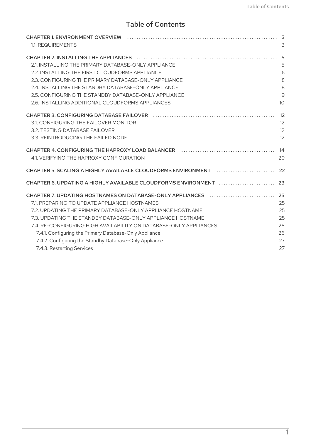# Table of Contents

| 1.1. REQUIREMENTS                                                 |    |
|-------------------------------------------------------------------|----|
| <b>CHAPTER 2. INSTALLING THE APPLIANCES</b>                       |    |
| 2.1. INSTALLING THE PRIMARY DATABASE-ONLY APPLIANCE               |    |
| 2.2. INSTALLING THE FIRST CLOUDFORMS APPLIANCE                    |    |
| 2.3. CONFIGURING THE PRIMARY DATABASE-ONLY APPLIANCE              |    |
| 2.4. INSTALLING THE STANDBY DATABASE-ONLY APPLIANCE               |    |
| 2.5. CONFIGURING THE STANDBY DATABASE-ONLY APPLIANCE              |    |
| 2.6. INSTALLING ADDITIONAL CLOUDFORMS APPLIANCES                  |    |
| <b>CHAPTER 3. CONFIGURING DATABASE FAILOVER</b>                   |    |
| 3.1. CONFIGURING THE FAILOVER MONITOR                             |    |
| 3.2. TESTING DATABASE FAILOVER                                    |    |
| 3.3. REINTRODUCING THE FAILED NODE                                |    |
| <b>CHAPTER 4. CONFIGURING THE HAPROXY LOAD BALANCER</b>           |    |
| 4.1. VERIFYING THE HAPROXY CONFIGURATION                          | 20 |
|                                                                   |    |
|                                                                   |    |
| CHAPTER 7. UPDATING HOSTNAMES ON DATABASE-ONLY APPLIANCES         |    |
| 7.1. PREPARING TO UPDATE APPLIANCE HOSTNAMES                      | 25 |
| 7.2. UPDATING THE PRIMARY DATABASE-ONLY APPLIANCE HOSTNAME        |    |
| 7.3. UPDATING THE STANDBY DATABASE-ONLY APPLIANCE HOSTNAME        | 25 |
| 7.4. RE-CONFIGURING HIGH AVAILABILITY ON DATABASE-ONLY APPLIANCES | 26 |
| 7.4.1. Configuring the Primary Database-Only Appliance            | 26 |
| 7.4.2. Configuring the Standby Database-Only Appliance            | 27 |
| 7.4.3. Restarting Services                                        | 27 |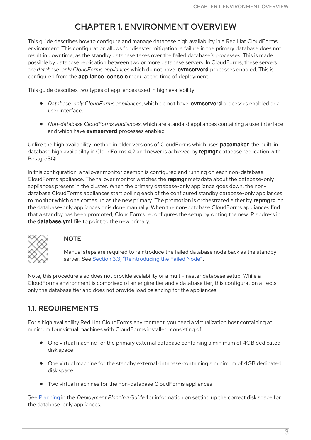# CHAPTER 1. ENVIRONMENT OVERVIEW

<span id="page-6-0"></span>This guide describes how to configure and manage database high availability in a Red Hat CloudForms environment. This configuration allows for disaster mitigation: a failure in the primary database does not result in downtime, as the standby database takes over the failed database's processes. This is made possible by database replication between two or more database servers. In CloudForms, these servers are *database-only CloudForms appliances* which do not have **evmserverd** processes enabled. This is configured from the **appliance\_console** menu at the time of deployment.

This guide describes two types of appliances used in high availability:

- *Database-only CloudForms appliances*, which do not have **evmserverd** processes enabled or a user interface.
- *Non-database CloudForms appliances*, which are standard appliances containing a user interface and which have **evmserverd** processes enabled.

Unlike the high availability method in older versions of CloudForms which uses **pacemaker**, the built-in database high availability in CloudForms 4.2 and newer is achieved by **repmgr** database replication with PostgreSQL.

In this configuration, a failover monitor daemon is configured and running on each non-database CloudForms appliance. The failover monitor watches the **repmgr** metadata about the database-only appliances present in the cluster. When the primary database-only appliance goes down, the nondatabase CloudForms appliances start polling each of the configured standby database-only appliances to monitor which one comes up as the new primary. The promotion is orchestrated either by **repmgrd** on the database-only appliances or is done manually. When the non-database CloudForms appliances find that a standby has been promoted, CloudForms reconfigures the setup by writing the new IP address in the **database.yml** file to point to the new primary.



### **NOTE**

Manual steps are required to reintroduce the failed database node back as the standby server. See Section 3.3, ["Reintroducing](#page-16-0) the Failed Node".

Note, this procedure also does not provide scalability or a multi-master database setup. While a CloudForms environment is comprised of an engine tier and a database tier, this configuration affects only the database tier and does not provide load balancing for the appliances.

# <span id="page-6-1"></span>1.1. REQUIREMENTS

For a high availability Red Hat CloudForms environment, you need a virtualization host containing at minimum four virtual machines with CloudForms installed, consisting of:

- One virtual machine for the primary external database containing a minimum of 4GB dedicated disk space
- One virtual machine for the standby external database containing a minimum of 4GB dedicated disk space
- Two virtual machines for the non-database CloudForms appliances

See [Planning](https://access.redhat.com/documentation/en-us/red_hat_cloudforms/5.0/html/deployment_planning_guide/planning) in the *Deployment Planning Guide* for information on setting up the correct disk space for the database-only appliances.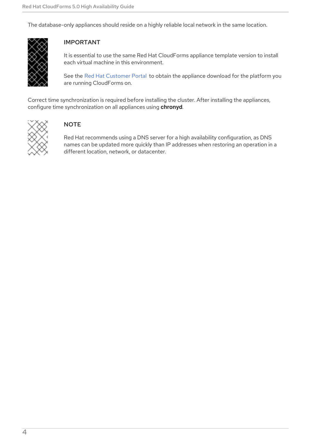The database-only appliances should reside on a highly reliable local network in the same location.



### IMPORTANT

It is essential to use the same Red Hat CloudForms appliance template version to install each virtual machine in this environment.

See the Red Hat [Customer](https://access.redhat.com/products/red-hat-cloudforms) Portal to obtain the appliance download for the platform you are running CloudForms on.

Correct time synchronization is required before installing the cluster. After installing the appliances, configure time synchronization on all appliances using **chronyd**.



### **NOTE**

Red Hat recommends using a DNS server for a high availability configuration, as DNS names can be updated more quickly than IP addresses when restoring an operation in a different location, network, or datacenter.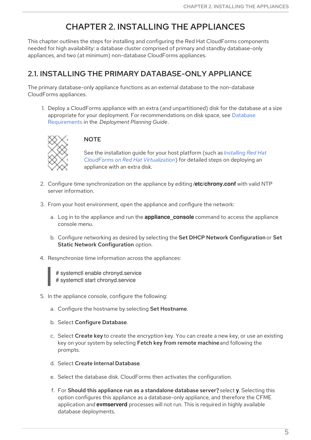# CHAPTER 2. INSTALLING THE APPLIANCES

<span id="page-8-0"></span>This chapter outlines the steps for installing and configuring the Red Hat CloudForms components needed for high availability: a database cluster comprised of primary and standby database-only appliances, and two (at minimum) non-database CloudForms appliances.

# <span id="page-8-1"></span>2.1. INSTALLING THE PRIMARY DATABASE-ONLY APPLIANCE

The primary database-only appliance functions as an external database to the non-database CloudForms appliances.

1. Deploy a CloudForms appliance with an extra (and unpartitioned) disk for the database at a size appropriate for your deployment. For [recommendations](https://access.redhat.com/documentation/en-us/red_hat_cloudforms/5.0/html/deployment_planning_guide/introduction#database-requirements) on disk space, see Database Requirements in the *Deployment Planning Guide*.



### **NOTE**

See the installation guide for your host platform (such as *Installing Red Hat CloudForms on Red Hat [Virtualization](https://access.redhat.com/documentation/en-us/red_hat_cloudforms/5.0/html-single/installing_red_hat_cloudforms_on_red_hat_virtualization/)*) for detailed steps on deploying an appliance with an extra disk.

- 2. Configure time synchronization on the appliance by editing **/etc/chrony.conf** with valid NTP server information.
- 3. From your host environment, open the appliance and configure the network:
	- a. Log in to the appliance and run the **appliance\_console** command to access the appliance console menu.
	- b. Configure networking as desired by selecting the Set DHCP Network Configuration or Set Static Network Configuration option.
- 4. Resynchronize time information across the appliances:

# systemctl enable chronyd.service # systemctl start chronyd.service

- 5. In the appliance console, configure the following:
	- a. Configure the hostname by selecting Set Hostname.
	- b. Select Configure Database.
	- c. Select Create key to create the encryption key. You can create a new key, or use an existing key on your system by selecting Fetch key from remote machineand following the prompts.
	- d. Select Create Internal Database.
	- e. Select the database disk. CloudForms then activates the configuration.
	- f. For Should this appliance run as a standalone database server?, select **y**. Selecting this option configures this appliance as a database-only appliance, and therefore the CFME application and **evmserverd** processes will not run. This is required in highly available database deployments.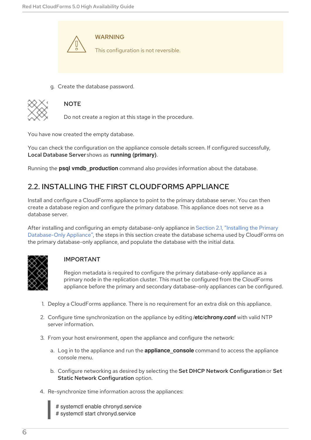

g. Create the database password.



### **NOTE**

Do not create a region at this stage in the procedure.

You have now created the empty database.

You can check the configuration on the appliance console details screen. If configured successfully, Local Database Server shows as **running (primary)**.

Running the **psql vmdb\_production** command also provides information about the database.

# <span id="page-9-0"></span>2.2. INSTALLING THE FIRST CLOUDFORMS APPLIANCE

Install and configure a CloudForms appliance to point to the primary database server. You can then create a database region and configure the primary database. This appliance does not serve as a database server.

After installing and configuring an empty database-only appliance in Section 2.1, "Installing the Primary [Database-Only](#page-8-1) Appliance", the steps in this section create the database schema used by CloudForms on the primary database-only appliance, and populate the database with the initial data.



#### IMPORTANT

Region metadata is required to configure the primary database-only appliance as a primary node in the replication cluster. This must be configured from the CloudForms appliance before the primary and secondary database-only appliances can be configured.

- 1. Deploy a CloudForms appliance. There is no requirement for an extra disk on this appliance.
- 2. Configure time synchronization on the appliance by editing **/etc/chrony.conf** with valid NTP server information.
- 3. From your host environment, open the appliance and configure the network:
	- a. Log in to the appliance and run the **appliance\_console** command to access the appliance console menu.
	- b. Configure networking as desired by selecting the Set DHCP Network Configuration or Set Static Network Configuration option.
- 4. Re-synchronize time information across the appliances:

# systemctl enable chronyd.service # systemctl start chronyd.service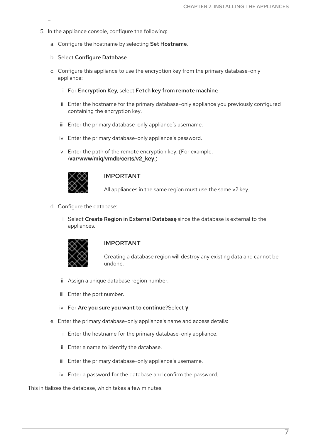- 5. In the appliance console, configure the following:
	- a. Configure the hostname by selecting Set Hostname.
	- b. Select Configure Database.
	- c. Configure this appliance to use the encryption key from the primary database-only appliance:
		- i. For Encryption Key, select Fetch key from remote machine.
		- ii. Enter the hostname for the primary database-only appliance you previously configured containing the encryption key.
		- iii. Enter the primary database-only appliance's username.
		- iv. Enter the primary database-only appliance's password.
		- v. Enter the path of the remote encryption key. (For example, **/var/www/miq/vmdb/certs/v2\_key**.)



#### IMPORTANT

All appliances in the same region must use the same v2 key.

- d. Configure the database:
	- i. Select Create Region in External Database since the database is external to the appliances.



#### IMPORTANT

Creating a database region will destroy any existing data and cannot be undone.

- ii. Assign a unique database region number.
- iii. Enter the port number.
- iv. For Are you sure you want to continue?Select **y**.
- e. Enter the primary database-only appliance's name and access details:
	- i. Enter the hostname for the primary database-only appliance.
	- ii. Enter a name to identify the database.
	- iii. Enter the primary database-only appliance's username.
	- iv. Enter a password for the database and confirm the password.

This initializes the database, which takes a few minutes.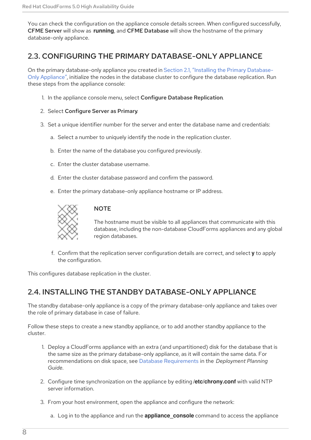<span id="page-11-2"></span>You can check the configuration on the appliance console details screen. When configured successfully, CFME Server will show as **running**, and CFME Database will show the hostname of the primary database-only appliance.

# <span id="page-11-0"></span>2.3. CONFIGURING THE PRIMARY DATABASE-ONLY APPLIANCE

On the primary [database-only](#page-8-1) appliance you created in Section 2.1, "Installing the Primary Database-Only Appliance", initialize the nodes in the database cluster to configure the database replication. Run these steps from the appliance console:

1. In the appliance console menu, select Configure Database Replication.

#### 2. Select Configure Server as Primary.

- 3. Set a unique identifier number for the server and enter the database name and credentials:
	- a. Select a number to uniquely identify the node in the replication cluster.
	- b. Enter the name of the database you configured previously.
	- c. Enter the cluster database username.
	- d. Enter the cluster database password and confirm the password.
	- e. Enter the primary database-only appliance hostname or IP address.



### **NOTE**

The hostname must be visible to all appliances that communicate with this database, including the non-database CloudForms appliances and any global region databases.

f. Confirm that the replication server configuration details are correct, and select **y** to apply the configuration.

This configures database replication in the cluster.

### <span id="page-11-1"></span>2.4. INSTALLING THE STANDBY DATABASE-ONLY APPLIANCE

The standby database-only appliance is a copy of the primary database-only appliance and takes over the role of primary database in case of failure.

Follow these steps to create a new standby appliance, or to add another standby appliance to the cluster.

- 1. Deploy a CloudForms appliance with an extra (and unpartitioned) disk for the database that is the same size as the primary database-only appliance, as it will contain the same data. For recommendations on disk space, see Database [Requirements](https://access.redhat.com/documentation/en-us/red_hat_cloudforms/5.0/html/deployment_planning_guide/introduction#database-requirements) in the *Deployment Planning Guide*.
- 2. Configure time synchronization on the appliance by editing **/etc/chrony.conf** with valid NTP server information.
- 3. From your host environment, open the appliance and configure the network:
	- a. Log in to the appliance and run the **appliance\_console** command to access the appliance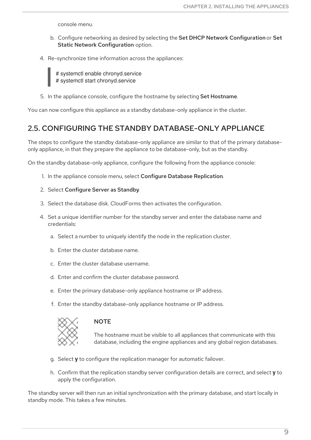console menu.

- b. Configure networking as desired by selecting the Set DHCP Network Configuration or Set Static Network Configuration option.
- 4. Re-synchronize time information across the appliances:

# systemctl enable chronyd.service # systemctl start chronyd.service

5. In the appliance console, configure the hostname by selecting Set Hostname.

You can now configure this appliance as a standby database-only appliance in the cluster.

### <span id="page-12-0"></span>2.5. CONFIGURING THE STANDBY DATABASE-ONLY APPLIANCE

The steps to configure the standby database-only appliance are similar to that of the primary databaseonly appliance, in that they prepare the appliance to be database-only, but as the standby.

On the standby database-only appliance, configure the following from the appliance console:

1. In the appliance console menu, select Configure Database Replication.

#### 2. Select Configure Server as Standby.

- 3. Select the database disk. CloudForms then activates the configuration.
- 4. Set a unique identifier number for the standby server and enter the database name and credentials:
	- a. Select a number to uniquely identify the node in the replication cluster.
	- b. Enter the cluster database name.
	- c. Enter the cluster database username.
	- d. Enter and confirm the cluster database password.
	- e. Enter the primary database-only appliance hostname or IP address.
	- f. Enter the standby database-only appliance hostname or IP address.



#### **NOTE**

The hostname must be visible to all appliances that communicate with this database, including the engine appliances and any global region databases.

- g. Select **y** to configure the replication manager for automatic failover.
- h. Confirm that the replication standby server configuration details are correct, and select **y** to apply the configuration.

The standby server will then run an initial synchronization with the primary database, and start locally in standby mode. This takes a few minutes.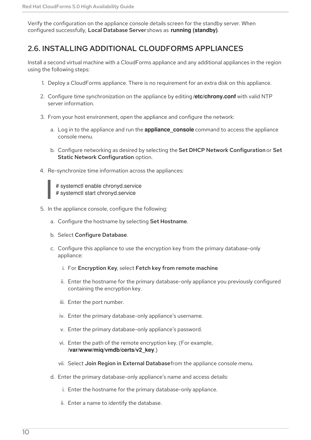Verify the configuration on the appliance console details screen for the standby server. When configured successfully, Local Database Server shows as **running (standby)**.

# <span id="page-13-0"></span>2.6. INSTALLING ADDITIONAL CLOUDFORMS APPLIANCES

Install a second virtual machine with a CloudForms appliance and any additional appliances in the region using the following steps:

- 1. Deploy a CloudForms appliance. There is no requirement for an extra disk on this appliance.
- 2. Configure time synchronization on the appliance by editing **/etc/chrony.conf** with valid NTP server information.
- 3. From your host environment, open the appliance and configure the network:
	- a. Log in to the appliance and run the **appliance console** command to access the appliance console menu.
	- b. Configure networking as desired by selecting the Set DHCP Network Configuration or Set Static Network Configuration option.
- 4. Re-synchronize time information across the appliances:

# systemctl enable chronyd.service # systemctl start chronyd.service

- 5. In the appliance console, configure the following:
	- a. Configure the hostname by selecting Set Hostname.
	- b. Select Configure Database.
	- c. Configure this appliance to use the encryption key from the primary database-only appliance:
		- i. For Encryption Key, select Fetch key from remote machine.
		- ii. Enter the hostname for the primary database-only appliance you previously configured containing the encryption key.
		- iii. Enter the port number.
		- iv. Enter the primary database-only appliance's username.
		- v. Enter the primary database-only appliance's password.
		- vi. Enter the path of the remote encryption key. (For example, **/var/www/miq/vmdb/certs/v2\_key**.)
		- vii. Select Join Region in External Databasefrom the appliance console menu.
	- d. Enter the primary database-only appliance's name and access details:
		- i. Enter the hostname for the primary database-only appliance.
		- ii. Enter a name to identify the database.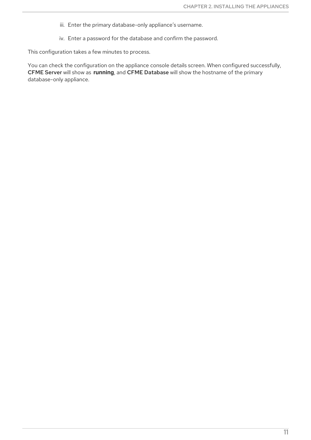- iii. Enter the primary database-only appliance's username.
- iv. Enter a password for the database and confirm the password.

This configuration takes a few minutes to process.

You can check the configuration on the appliance console details screen. When configured successfully, CFME Server will show as **running**, and CFME Database will show the hostname of the primary database-only appliance.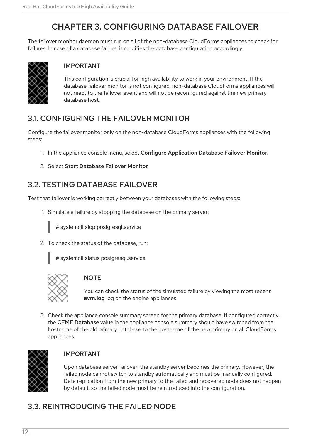# CHAPTER 3. CONFIGURING DATABASE FAILOVER

<span id="page-15-0"></span>The failover monitor daemon must run on all of the non-database CloudForms appliances to check for failures. In case of a database failure, it modifies the database configuration accordingly.



### IMPORTANT

This configuration is crucial for high availability to work in your environment. If the database failover monitor is not configured, non-database CloudForms appliances will not react to the failover event and will not be reconfigured against the new primary database host.

# <span id="page-15-1"></span>3.1. CONFIGURING THE FAILOVER MONITOR

Configure the failover monitor only on the non-database CloudForms appliances with the following steps:

- 1. In the appliance console menu, select Configure Application Database Failover Monitor.
- 2. Select Start Database Failover Monitor.

# <span id="page-15-2"></span>3.2. TESTING DATABASE FAILOVER

Test that failover is working correctly between your databases with the following steps:

1. Simulate a failure by stopping the database on the primary server:



# systemctl stop postgresql.service

2. To check the status of the database, run:



# systemctl status postgresql.service



### **NOTE**

You can check the status of the simulated failure by viewing the most recent **evm.log** log on the engine appliances.

3. Check the appliance console summary screen for the primary database. If configured correctly, the CFME Database value in the appliance console summary should have switched from the hostname of the old primary database to the hostname of the new primary on all CloudForms appliances.



### IMPORTANT

Upon database server failover, the standby server becomes the primary. However, the failed node cannot switch to standby automatically and must be manually configured. Data replication from the new primary to the failed and recovered node does not happen by default, so the failed node must be reintroduced into the configuration.

# <span id="page-15-3"></span>3.3. REINTRODUCING THE FAILED NODE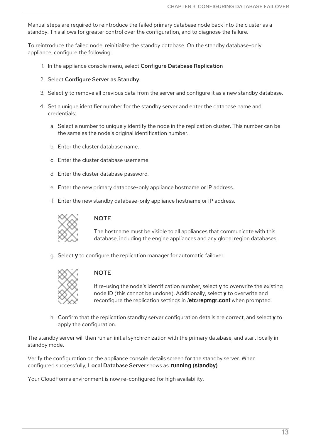<span id="page-16-0"></span>Manual steps are required to reintroduce the failed primary database node back into the cluster as a standby. This allows for greater control over the configuration, and to diagnose the failure.

To reintroduce the failed node, reinitialize the standby database. On the standby database-only appliance, configure the following:

- 1. In the appliance console menu, select Configure Database Replication.
- 2. Select Configure Server as Standby.
- 3. Select **y** to remove all previous data from the server and configure it as a new standby database.
- 4. Set a unique identifier number for the standby server and enter the database name and credentials:
	- a. Select a number to uniquely identify the node in the replication cluster. This number can be the same as the node's original identification number.
	- b. Enter the cluster database name.
	- c. Enter the cluster database username.
	- d. Enter the cluster database password.
	- e. Enter the new primary database-only appliance hostname or IP address.
	- f. Enter the new standby database-only appliance hostname or IP address.



#### **NOTE**

The hostname must be visible to all appliances that communicate with this database, including the engine appliances and any global region databases.

g. Select **y** to configure the replication manager for automatic failover.



#### **NOTE**

If re-using the node's identification number, select **y** to overwrite the existing node ID (this cannot be undone). Additionally, select **y** to overwrite and reconfigure the replication settings in **/etc/repmgr.conf** when prompted.

h. Confirm that the replication standby server configuration details are correct, and select **y** to apply the configuration.

The standby server will then run an initial synchronization with the primary database, and start locally in standby mode.

Verify the configuration on the appliance console details screen for the standby server. When configured successfully, Local Database Server shows as **running (standby)**.

Your CloudForms environment is now re-configured for high availability.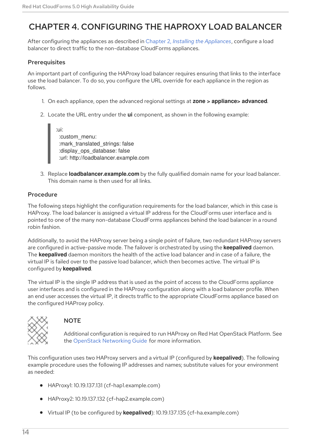# <span id="page-17-0"></span>CHAPTER 4. CONFIGURING THE HAPROXY LOAD BALANCER

After configuring the appliances as described in Chapter 2, *Installing the [Appliances](#page-11-2)*, configure a load balancer to direct traffic to the non-database CloudForms appliances.

#### **Prerequisites**

An important part of configuring the HAProxy load balancer requires ensuring that links to the interface use the load balancer. To do so, you configure the URL override for each appliance in the region as follows.

- 1. On each appliance, open the advanced regional settings at **zone > appliance> advanced**.
- 2. Locate the URL entry under the **ui** component, as shown in the following example:

:ui: :custom\_menu: :mark\_translated\_strings: false :display\_ops\_database: false :url: http://loadbalancer.example.com

3. Replace **loadbalancer.example.com** by the fully qualified domain name for your load balancer. This domain name is then used for all links.

#### Procedure

The following steps highlight the configuration requirements for the load balancer, which in this case is HAProxy. The load balancer is assigned a virtual IP address for the CloudForms user interface and is pointed to one of the many non-database CloudForms appliances behind the load balancer in a round robin fashion.

Additionally, to avoid the HAProxy server being a single point of failure, two redundant HAProxy servers are configured in active-passive mode. The failover is orchestrated by using the **keepalived** daemon. The **keepalived** daemon monitors the health of the active load balancer and in case of a failure, the virtual IP is failed over to the passive load balancer, which then becomes active. The virtual IP is configured by **keepalived**.

The virtual IP is the single IP address that is used as the point of access to the CloudForms appliance user interfaces and is configured in the HAProxy configuration along with a load balancer profile. When an end user accesses the virtual IP, it directs traffic to the appropriate CloudForms appliance based on the configured HAProxy policy.



#### **NOTE**

Additional configuration is required to run HAProxy on Red Hat OpenStack Platform. See the OpenStack [Networking](https://access.redhat.com/documentation/en/red-hat-openstack-platform/10/single/networking-guide/) Guide for more information.

This configuration uses two HAProxy servers and a virtual IP (configured by **keepalived**). The following example procedure uses the following IP addresses and names; substitute values for your environment as needed:

- HAProxy1: 10.19.137.131 (cf-hap1.example.com)
- HAProxy2: 10.19.137.132 (cf-hap2.example.com)
- Virtual IP (to be configured by **keepalived**): 10.19.137.135 (cf-ha.example.com)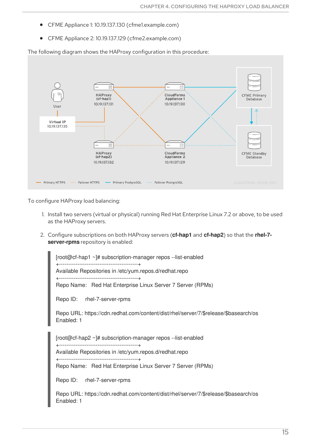- CFME Appliance 1: 10.19.137.130 (cfme1.example.com)
- CFME Appliance 2: 10.19.137.129 (cfme2.example.com)

The following diagram shows the HAProxy configuration in this procedure:



To configure HAProxy load balancing:

- 1. Install two servers (virtual or physical) running Red Hat Enterprise Linux 7.2 or above, to be used as the HAProxy servers.
- 2. Configure subscriptions on both HAProxy servers (**cf-hap1** and **cf-hap2**) so that the **rhel-7 server-rpms** repository is enabled:

[root@cf-hap1 ~]# subscription-manager repos --list-enabled +-------------------------------------------+ Available Repositories in /etc/yum.repos.d/redhat.repo +-------------------------------------------+ Repo Name: Red Hat Enterprise Linux Server 7 Server (RPMs)

Repo ID: rhel-7-server-rpms

Repo URL: https://cdn.redhat.com/content/dist/rhel/server/7/\$release/\$basearch/os Enabled: 1

[root@cf-hap2 ~]# subscription-manager repos --list-enabled +-------------------------------------------+

Available Repositories in /etc/yum.repos.d/redhat.repo +-------------------------------------------+

Repo Name: Red Hat Enterprise Linux Server 7 Server (RPMs)

Repo ID: rhel-7-server-rpms

Repo URL: https://cdn.redhat.com/content/dist/rhel/server/7/\$release/\$basearch/os Enabled: 1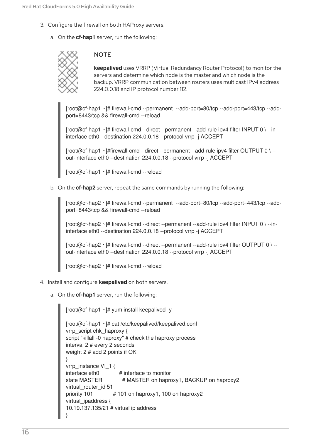- 3. Configure the firewall on both HAProxy servers.
	- a. On the **cf-hap1** server, run the following:

#### **NOTE**

**keepalived** uses VRRP (Virtual Redundancy Router Protocol) to monitor the servers and determine which node is the master and which node is the backup. VRRP communication between routers uses multicast IPv4 address 224.0.0.18 and IP protocol number 112.

[root@cf-hap1 ~]# firewall-cmd --permanent --add-port=80/tcp --add-port=443/tcp --addport=8443/tcp && firewall-cmd --reload

[root@cf-hap1 ~]# firewall-cmd --direct --permanent --add-rule ipv4 filter INPUT 0 \ --ininterface eth0 --destination 224.0.0.18 --protocol vrrp -j ACCEPT

[root@cf-hap1 ~]#firewall-cmd --direct --permanent --add-rule ipv4 filter OUTPUT 0 \ - out-interface eth0 --destination 224.0.0.18 --protocol vrrp -j ACCEPT

[root@cf-hap1 ~]# firewall-cmd --reload

b. On the **cf-hap2** server, repeat the same commands by running the following:

[root@cf-hap2 ~]# firewall-cmd --permanent --add-port=80/tcp --add-port=443/tcp --addport=8443/tcp && firewall-cmd --reload

[root@cf-hap2 ~]# firewall-cmd --direct --permanent --add-rule ipv4 filter INPUT 0 \ --ininterface eth0 --destination 224.0.0.18 --protocol vrrp -j ACCEPT

[root@cf-hap2 ~]# firewall-cmd --direct --permanent --add-rule ipv4 filter OUTPUT 0 \ - out-interface eth0 --destination 224.0.0.18 --protocol vrrp -j ACCEPT

[root@cf-hap2 ~]# firewall-cmd --reload

- 4. Install and configure **keepalived** on both servers.
	- a. On the **cf-hap1** server, run the following:

```
[root@cf-hap1 ~]# yum install keepalived -y
[root@cf-hap1 ~]# cat /etc/keepalived/keepalived.conf
vrrp_script chk_haproxy {
script "killall -0 haproxy" # check the haproxy process
interval 2 # every 2 seconds
weight 2 # add 2 points if OK
}
vrrp_instance VI_1 {
interface eth0 # interface to monitor
state MASTER # MASTER on haproxy1, BACKUP on haproxy2
virtual router id 51
priority 101 # 101 on haproxy1, 100 on haproxy2
virtual_ipaddress {
10.19.137.135/21 # virtual ip address
}
```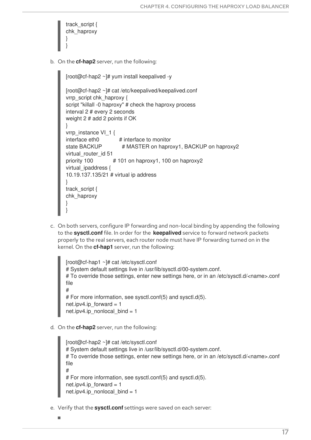<span id="page-20-0"></span>

b. On the **cf-hap2** server, run the following:

```
[root@cf-hap2 ~]# yum install keepalived -y
[root@cf-hap2 ~]# cat /etc/keepalived/keepalived.conf
vrrp_script chk_haproxy {
script "killall -0 haproxy" # check the haproxy process
interval 2 # every 2 seconds
weight 2 # add 2 points if OK
}
vrrp_instance VI_1 {
interface eth0 # interface to monitor
state BACKUP # MASTER on haproxy1, BACKUP on haproxy2
virtual router id 51
priority 100 # 101 on haproxy1, 100 on haproxy2
virtual ipaddress {
10.19.137.135/21 # virtual ip address
}
track_script {
chk_haproxy
}
}
```
c. On both servers, configure IP forwarding and non-local binding by appending the following to the **sysctl.conf** file. In order for the **keepalived** service to forward network packets properly to the real servers, each router node must have IP forwarding turned on in the kernel. On the **cf-hap1** server, run the following:

[root@cf-hap1 ~]# cat /etc/sysctl.conf # System default settings live in /usr/lib/sysctl.d/00-system.conf. # To override those settings, enter new settings here, or in an /etc/sysctl.d/<name>.conf file # # For more information, see sysctl.conf(5) and sysctl.d(5). net.ipv4.ip forward =  $1$ net.ipv4.ip\_nonlocal\_bind = 1

d. On the **cf-hap2** server, run the following:

```
[root@cf-hap2 ~]# cat /etc/sysctl.conf
# System default settings live in /usr/lib/sysctl.d/00-system.conf.
# To override those settings, enter new settings here, or in an /etc/sysctl.d/<name>.conf
file
#
# For more information, see sysctl.conf(5) and sysctl.d(5).
net.ipv4.ip forward = 1net.ipv4.ip_nonlocal_bind = 1
```
e. Verify that the **sysctl.conf** settings were saved on each server: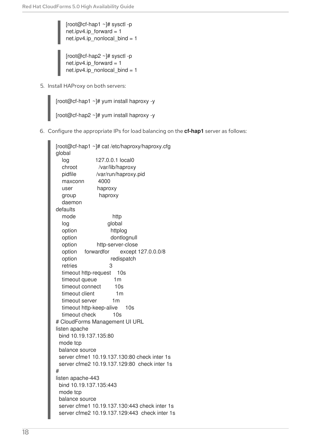[root@cf-hap1 ~]# sysctl -p net.ipv4.ip\_forward = 1 net.ipv4.ip\_nonlocal\_bind =  $1$ 

[root@cf-hap2 ~]# sysctl -p net.ipv4.ip\_forward = 1 net.ipv4.ip\_nonlocal\_bind = 1

5. Install HAProxy on both servers:

[root@cf-hap1 ~]# yum install haproxy -y

```
[root@cf-hap2 ~]# yum install haproxy -y
```
6. Configure the appropriate IPs for load balancing on the **cf-hap1** server as follows:

```
[root@cf-hap1 ~]# cat /etc/haproxy/haproxy.cfg
global
 log 127.0.0.1 local0
  chroot /var/lib/haproxy
  pidfile /var/run/haproxy.pid
  maxconn 4000
  user haproxy
 group haproxy
  daemon
defaults
  mode http
 log global
  option httplog
  option dontlognull
  option http-server-close
  option forwardfor except 127.0.0.0/8
  option redispatch
  retries 3
  timeout http-request 10s
  timeout queue 1m
  timeout connect 10s
  timeout client 1m
  timeout server 1m
  timeout http-keep-alive 10s
  timeout check 10s
# CloudForms Management UI URL
listen apache
 bind 10.19.137.135:80
 mode tcp
 balance source
 server cfme1 10.19.137.130:80 check inter 1s
 server cfme2 10.19.137.129:80 check inter 1s
#
listen apache-443
 bind 10.19.137.135:443
 mode tcp
 balance source
 server cfme1 10.19.137.130:443 check inter 1s
 server cfme2 10.19.137.129:443 check inter 1s
```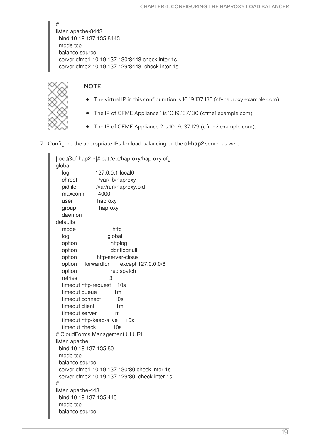# listen apache-8443 bind 10.19.137.135:8443 mode tcp balance source server cfme1 10.19.137.130:8443 check inter 1s server cfme2 10.19.137.129:8443 check inter 1s



### **NOTE**

- The virtual IP in this configuration is 10.19.137.135 (cf-haproxy.example.com).
- The IP of CFME Appliance 1 is 10.19.137.130 (cfme1.example.com).
- The IP of CFME Appliance 2 is 10.19.137.129 (cfme2.example.com).
- 7. Configure the appropriate IPs for load balancing on the **cf-hap2** server as well:

[root@cf-hap2 ~]# cat /etc/haproxy/haproxy.cfg global log 127.0.0.1 local0 chroot /var/lib/haproxy pidfile /var/run/haproxy.pid maxconn 4000 user haproxy group haproxy daemon defaults mode http log global option httplog option dontlognull option http-server-close option forwardfor except 127.0.0.0/8 option redispatch retries 3 timeout http-request 10s timeout queue 1m timeout connect 10s timeout client 1m timeout server 1m timeout http-keep-alive 10s timeout check 10s # CloudForms Management UI URL listen apache bind 10.19.137.135:80 mode tcp balance source server cfme1 10.19.137.130:80 check inter 1s server cfme2 10.19.137.129:80 check inter 1s # listen apache-443 bind 10.19.137.135:443 mode tcp balance source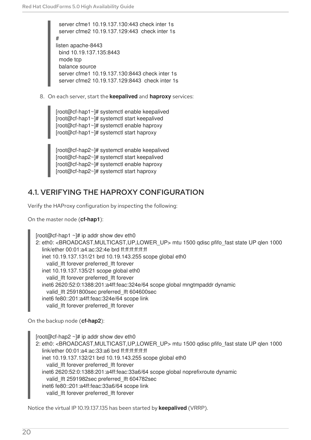server cfme1 10.19.137.130:443 check inter 1s server cfme2 10.19.137.129:443 check inter 1s # listen apache-8443 bind 10.19.137.135:8443 mode tcp balance source server cfme1 10.19.137.130:8443 check inter 1s server cfme2 10.19.137.129:8443 check inter 1s

8. On each server, start the **keepalived** and **haproxy** services:

[root@cf-hap1~]# systemctl enable keepalived [root@cf-hap1~]# systemctl start keepalived [root@cf-hap1~]# systemctl enable haproxy [root@cf-hap1~]# systemctl start haproxy

[root@cf-hap2~]# systemctl enable keepalived [root@cf-hap2~]# systemctl start keepalived [root@cf-hap2~]# systemctl enable haproxy [root@cf-hap2~]# systemctl start haproxy

# <span id="page-23-0"></span>4.1. VERIFYING THE HAPROXY CONFIGURATION

Verify the HAProxy configuration by inspecting the following:

On the master node (**cf-hap1**):

```
[root@cf-hap1 \sim]# ip addr show dev eth0
2: eth0: <BROADCAST,MULTICAST,UP,LOWER_UP> mtu 1500 qdisc pfifo_fast state UP qlen 1000
  link/ether 00:01:a4:ac:32:4e brd ff:ff:ff:ff:ff:ff
  inet 10.19.137.131/21 brd 10.19.143.255 scope global eth0
    valid_lft forever preferred_lft forever
  inet 10.19.137.135/21 scope global eth0
    valid_lft forever preferred_lft forever
  inet6 2620:52:0:1388:201:a4ff:feac:324e/64 scope global mngtmpaddr dynamic
    valid_lft 2591800sec preferred_lft 604600sec
  inet6 fe80::201:a4ff:feac:324e/64 scope link
    valid_lft forever preferred_lft forever
```
On the backup node (**cf-hap2**):

[root@cf-hap2  $~\sim$ ]# ip addr show dev eth0 2: eth0: <BROADCAST,MULTICAST,UP,LOWER\_UP> mtu 1500 qdisc pfifo\_fast state UP qlen 1000 link/ether 00:01:a4:ac:33:a6 brd ff:ff:ff:ff:ff:ff inet 10.19.137.132/21 brd 10.19.143.255 scope global eth0 valid\_lft forever preferred\_lft forever inet6 2620:52:0:1388:201:a4ff:feac:33a6/64 scope global noprefixroute dynamic valid\_lft 2591982sec preferred\_lft 604782sec inet6 fe80::201:a4ff:feac:33a6/64 scope link valid\_lft forever preferred\_lft forever

Notice the virtual IP 10.19.137.135 has been started by **keepalived** (VRRP).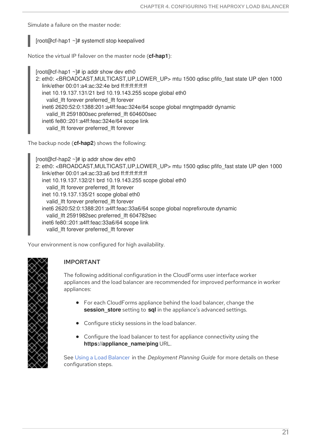Simulate a failure on the master node:

### [root@cf-hap1 ~]# systemctl stop keepalived

Notice the virtual IP failover on the master node (**cf-hap1**):

[root@cf-hap1  $\sim$ ]# ip addr show dev eth0 2: eth0: <BROADCAST,MULTICAST,UP,LOWER\_UP> mtu 1500 qdisc pfifo\_fast state UP qlen 1000 link/ether 00:01:a4:ac:32:4e brd ff:ff:ff:ff:ff:ff inet 10.19.137.131/21 brd 10.19.143.255 scope global eth0 valid\_lft forever preferred\_lft forever inet6 2620:52:0:1388:201:a4ff:feac:324e/64 scope global mngtmpaddr dynamic valid\_lft 2591800sec preferred\_lft 604600sec inet6 fe80::201:a4ff:feac:324e/64 scope link valid\_lft forever preferred\_lft forever

The backup node (**cf-hap2**) shows the following:

 $[root@cf-hap2 \sim H$  ip addr show dev eth0 2: eth0: <BROADCAST,MULTICAST,UP,LOWER\_UP> mtu 1500 qdisc pfifo\_fast state UP qlen 1000 link/ether 00:01:a4:ac:33:a6 brd ff:ff:ff:ff:ff:ff inet 10.19.137.132/21 brd 10.19.143.255 scope global eth0 valid\_lft forever preferred\_lft forever inet 10.19.137.135/21 scope global eth0 valid\_lft forever preferred\_lft forever inet6 2620:52:0:1388:201:a4ff:feac:33a6/64 scope global noprefixroute dynamic valid\_lft 2591982sec preferred\_lft 604782sec inet6 fe80::201:a4ff:feac:33a6/64 scope link valid\_lft forever preferred\_lft forever

Your environment is now configured for high availability.



### IMPORTANT

The following additional configuration in the CloudForms user interface worker appliances and the load balancer are recommended for improved performance in worker appliances:

- For each CloudForms appliance behind the load balancer, change the **session\_store** setting to **sql** in the appliance's advanced settings.
- Configure sticky sessions in the load balancer.
- Configure the load balancer to test for appliance connectivity using the **https://appliance\_name/ping** URL.

See Using a Load [Balancer](https://access.redhat.com/documentation/en-us/red_hat_cloudforms/5.0/html/deployment_planning_guide/planning#load-balancer) in the *Deployment Planning Guide* for more details on these configuration steps.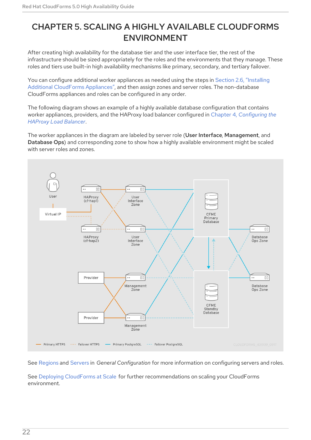# <span id="page-25-0"></span>CHAPTER 5. SCALING A HIGHLY AVAILABLE CLOUDFORMS ENVIRONMENT

After creating high availability for the database tier and the user interface tier, the rest of the infrastructure should be sized appropriately for the roles and the environments that they manage. These roles and tiers use built-in high availability mechanisms like primary, secondary, and tertiary failover.

You can configure additional worker appliances as needed using the steps in Section 2.6, "Installing Additional CloudForms Appliances", and then assign zones and server roles. The [non-database](#page-13-0) CloudForms appliances and roles can be configured in any order.

The following diagram shows an example of a highly available database configuration that contains worker appliances, providers, and the HAProxy load balancer configured in Chapter 4, *[Configuring](#page-20-0) the HAProxy Load Balancer*.

The worker appliances in the diagram are labeled by server role (User Interface, Management, and Database Ops) and corresponding zone to show how a highly available environment might be scaled with server roles and zones.



See [Regions](https://access.redhat.com/documentation/en-us/red_hat_cloudforms/5.0/html-single/general_configuration/index#regions) and [Servers](https://access.redhat.com/documentation/en-us/red_hat_cloudforms/5.0/html-single/general_configuration/index#servers) in *General Configuration* for more information on configuring servers and roles.

See Deploying [CloudForms](https://access.redhat.com/documentation/en-us/reference_architectures/2017/html/deploying_cloudforms_at_scale/) at Scale for further recommendations on scaling your CloudForms environment.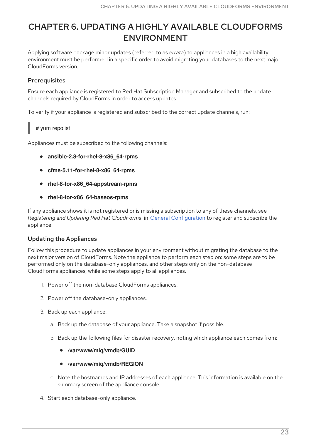# <span id="page-26-0"></span>CHAPTER 6. UPDATING A HIGHLY AVAILABLE CLOUDFORMS ENVIRONMENT

Applying software package minor updates (referred to as *errata*) to appliances in a high availability environment must be performed in a specific order to avoid migrating your databases to the next major CloudForms version.

### **Prerequisites**

Ensure each appliance is registered to Red Hat Subscription Manager and subscribed to the update channels required by CloudForms in order to access updates.

To verify if your appliance is registered and subscribed to the correct update channels, run:

### # yum repolist

Appliances must be subscribed to the following channels:

- **ansible-2.8-for-rhel-8-x86\_64-rpms**
- **cfme-5.11-for-rhel-8-x86\_64-rpms**
- **rhel-8-for-x86\_64-appstream-rpms**
- **rhel-8-for-x86\_64-baseos-rpms**

If any appliance shows it is not registered or is missing a subscription to any of these channels, see *Registering and Updating Red Hat CloudForms* in General [Configuration](https://access.redhat.com/documentation/en-us/red_hat_cloudforms/5.0/html-single/general_configuration/index) to register and subscribe the appliance.

### Updating the Appliances

Follow this procedure to update appliances in your environment without migrating the database to the next major version of CloudForms. Note the appliance to perform each step on: some steps are to be performed only on the database-only appliances, and other steps only on the non-database CloudForms appliances, while some steps apply to all appliances.

- 1. Power off the non-database CloudForms appliances.
- 2. Power off the database-only appliances.
- 3. Back up each appliance:
	- a. Back up the database of your appliance. Take a snapshot if possible.
	- b. Back up the following files for disaster recovery, noting which appliance each comes from:
		- **/var/www/miq/vmdb/GUID**
		- **/var/www/miq/vmdb/REGION**
	- c. Note the hostnames and IP addresses of each appliance. This information is available on the summary screen of the appliance console.
- 4. Start each database-only appliance.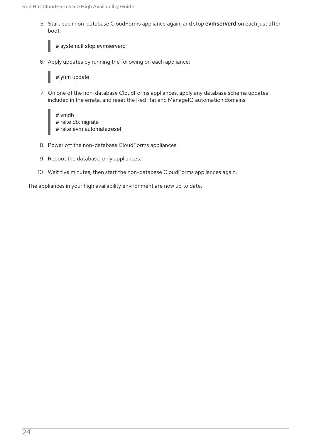5. Start each non-database CloudForms appliance again, and stop **evmserverd** on each just after boot:

# systemctl stop evmserverd

6. Apply updates by running the following on each appliance:

# yum update

7. On one of the non-database CloudForms appliances, apply any database schema updates included in the errata, and reset the Red Hat and ManageIQ automation domains:

# vmdb # rake db:migrate # rake evm:automate:reset

- 8. Power off the non-database CloudForms appliances.
- 9. Reboot the database-only appliances.
- 10. Wait five minutes, then start the non-database CloudForms appliances again.

The appliances in your high availability environment are now up to date.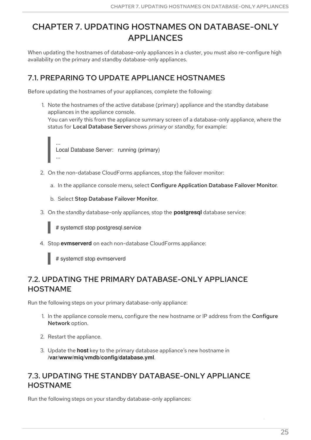# <span id="page-28-0"></span>CHAPTER 7. UPDATING HOSTNAMES ON DATABASE-ONLY APPLIANCES

When updating the hostnames of database-only appliances in a cluster, you must also re-configure high availability on the primary and standby database-only appliances.

# <span id="page-28-1"></span>7.1. PREPARING TO UPDATE APPLIANCE HOSTNAMES

Before updating the hostnames of your appliances, complete the following:

1. Note the hostnames of the active database (primary) appliance and the standby database appliances in the appliance console. You can verify this from the appliance summary screen of a database-only appliance, where the status for Local Database Server shows *primary* or *standby*, for example:



- 2. On the non-database CloudForms appliances, stop the failover monitor:
	- a. In the appliance console menu, select Configure Application Database Failover Monitor.
	- b. Select Stop Database Failover Monitor.
- 3. On the *standby* database-only appliances, stop the **postgresql** database service:

# systemctl stop postgresql.service

4. Stop **evmserverd** on each non-database CloudForms appliance:

# systemctl stop evmserverd

# <span id="page-28-2"></span>7.2. UPDATING THE PRIMARY DATABASE-ONLY APPLIANCE HOSTNAME

Run the following steps on your primary database-only appliance:

- 1. In the appliance console menu, configure the new hostname or IP address from the Configure Network option.
- 2. Restart the appliance.
- 3. Update the **host** key to the primary database appliance's new hostname in **/var/www/miq/vmdb/config/database.yml**.

# <span id="page-28-3"></span>7.3. UPDATING THE STANDBY DATABASE-ONLY APPLIANCE HOSTNAME

Run the following steps on your standby database-only appliances: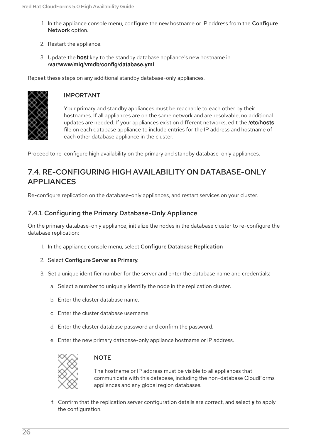- 1. In the appliance console menu, configure the new hostname or IP address from the Configure Network option.
- 2. Restart the appliance.
- 3. Update the **host** key to the standby database appliance's new hostname in **/var/www/miq/vmdb/config/database.yml**.

Repeat these steps on any additional standby database-only appliances.



### IMPORTANT

Your primary and standby appliances must be reachable to each other by their hostnames. If all appliances are on the same network and are resolvable, no additional updates are needed. If your appliances exist on different networks, edit the **/etc/hosts** file on each database appliance to include entries for the IP address and hostname of each other database appliance in the cluster.

Proceed to re-configure high availability on the primary and standby database-only appliances.

## <span id="page-29-0"></span>7.4. RE-CONFIGURING HIGH AVAILABILITY ON DATABASE-ONLY APPLIANCES

Re-configure replication on the database-only appliances, and restart services on your cluster.

### <span id="page-29-1"></span>7.4.1. Configuring the Primary Database-Only Appliance

On the primary database-only appliance, initialize the nodes in the database cluster to re-configure the database replication:

- 1. In the appliance console menu, select Configure Database Replication.
- 2. Select Configure Server as Primary.
- 3. Set a unique identifier number for the server and enter the database name and credentials:
	- a. Select a number to uniquely identify the node in the replication cluster.
	- b. Enter the cluster database name.
	- c. Enter the cluster database username.
	- d. Enter the cluster database password and confirm the password.
	- e. Enter the new primary database-only appliance hostname or IP address.



#### **NOTE**

The hostname or IP address must be visible to all appliances that communicate with this database, including the non-database CloudForms appliances and any global region databases.

f. Confirm that the replication server configuration details are correct, and select **y** to apply the configuration.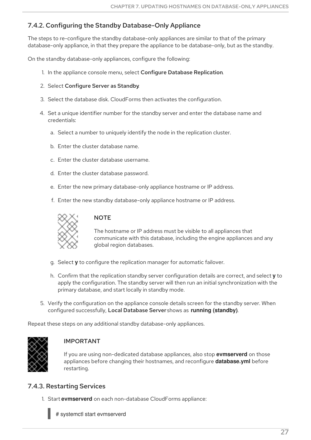### <span id="page-30-0"></span>7.4.2. Configuring the Standby Database-Only Appliance

The steps to re-configure the standby database-only appliances are similar to that of the primary database-only appliance, in that they prepare the appliance to be database-only, but as the standby.

On the standby database-only appliances, configure the following:

- 1. In the appliance console menu, select Configure Database Replication.
- 2. Select Configure Server as Standby.
- 3. Select the database disk. CloudForms then activates the configuration.
- 4. Set a unique identifier number for the standby server and enter the database name and credentials:
	- a. Select a number to uniquely identify the node in the replication cluster.
	- b. Enter the cluster database name.
	- c. Enter the cluster database username.
	- d. Enter the cluster database password.
	- e. Enter the new primary database-only appliance hostname or IP address.
	- f. Enter the new standby database-only appliance hostname or IP address.



#### **NOTE**

The hostname or IP address must be visible to all appliances that communicate with this database, including the engine appliances and any global region databases.

- g. Select **y** to configure the replication manager for automatic failover.
- h. Confirm that the replication standby server configuration details are correct, and select **y** to apply the configuration. The standby server will then run an initial synchronization with the primary database, and start locally in standby mode.
- 5. Verify the configuration on the appliance console details screen for the standby server. When configured successfully, Local Database Server shows as **running (standby)**.

Repeat these steps on any additional standby database-only appliances.



### IMPORTANT

If you are using non-dedicated database appliances, also stop **evmserverd** on those appliances before changing their hostnames, and reconfigure **database.yml** before restarting.

### <span id="page-30-1"></span>7.4.3. Restarting Services

1. Start **evmserverd** on each non-database CloudForms appliance:

# systemctl start evmserverd